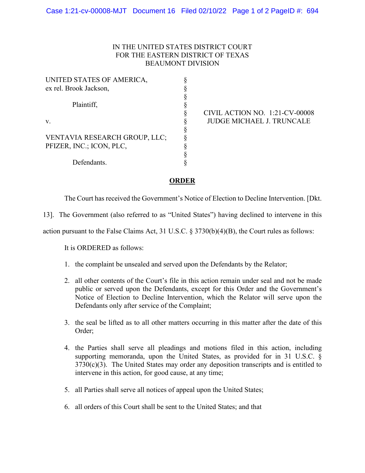## IN THE UNITED STATES DISTRICT COURT FOR THE EASTERN DISTRICT OF TEXAS BEAUMONT DIVISION

| UNITED STATES OF AMERICA,     |   |
|-------------------------------|---|
| ex rel. Brook Jackson,        |   |
|                               |   |
| Plaintiff,<br>v.              | § |
|                               |   |
|                               | § |
| VENTAVIA RESEARCH GROUP, LLC; | § |
| PFIZER, INC.; ICON, PLC,      | § |
|                               |   |
| Defendants.                   |   |

 CIVIL ACTION NO. 1:21-CV-00008 JUDGE MICHAEL J. TRUNCALE

## **ORDER**

The Court has received the Government's Notice of Election to Decline Intervention. [Dkt.

13]. The Government (also referred to as "United States") having declined to intervene in this

action pursuant to the False Claims Act, 31 U.S.C. § 3730(b)(4)(B), the Court rules as follows:

It is ORDERED as follows:

- 1. the complaint be unsealed and served upon the Defendants by the Relator;
- 2. all other contents of the Court's file in this action remain under seal and not be made public or served upon the Defendants, except for this Order and the Government's Notice of Election to Decline Intervention, which the Relator will serve upon the Defendants only after service of the Complaint;
- 3. the seal be lifted as to all other matters occurring in this matter after the date of this Order;
- 4. the Parties shall serve all pleadings and motions filed in this action, including supporting memoranda, upon the United States, as provided for in 31 U.S.C. §  $3730(c)(3)$ . The United States may order any deposition transcripts and is entitled to intervene in this action, for good cause, at any time;
- 5. all Parties shall serve all notices of appeal upon the United States;
- 6. all orders of this Court shall be sent to the United States; and that